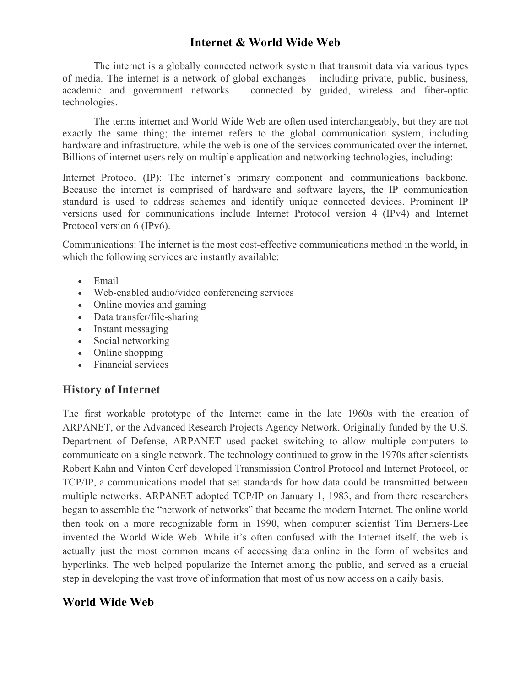# **Internet & World Wide Web**

The internet is a globally connected network system that transmit data via various types of media. The internet is a network of global exchanges – including private, public, business, academic and government networks – connected by guided, wireless and fiber-optic technologies.

The terms internet and World Wide Web are often used interchangeably, but they are not exactly the same thing; the internet refers to the global communication system, including hardware and infrastructure, while the web is one of the services communicated over the internet. Billions of internet users rely on multiple application and networking technologies, including:

Internet Protocol (IP): The internet's primary component and communications backbone. Because the internet is comprised of hardware and software layers, the IP communication standard is used to address schemes and identify unique connected devices. Prominent IP versions used for communications include Internet Protocol version 4 (IPv4) and Internet Protocol version 6 (IPv6).

Communications: The internet is the most cost-effective communications method in the world, in which the following services are instantly available:

- Email
- Web-enabled audio/video conferencing services
- Online movies and gaming
- Data transfer/file-sharing
- Instant messaging
- Social networking
- Online shopping
- Financial services

#### **History of Internet**

The first workable prototype of the Internet came in the late 1960s with the creation of ARPANET, or the Advanced Research Projects Agency Network. Originally funded by the U.S. Department of Defense, ARPANET used packet switching to allow multiple computers to communicate on a single network. The technology continued to grow in the 1970s after scientists Robert Kahn and Vinton Cerf developed Transmission Control Protocol and Internet Protocol, or TCP/IP, a communications model that set standards for how data could be transmitted between multiple networks. ARPANET adopted TCP/IP on January 1, 1983, and from there researchers began to assemble the "network of networks" that became the modern Internet. The online world then took on a more recognizable form in 1990, when computer scientist Tim Berners-Lee invented the World Wide Web. While it's often confused with the Internet itself, the web is actually just the most common means of accessing data online in the form of websites and hyperlinks. The web helped popularize the Internet among the public, and served as a crucial step in developing the vast trove of information that most of us now access on a daily basis.

## **World Wide Web**